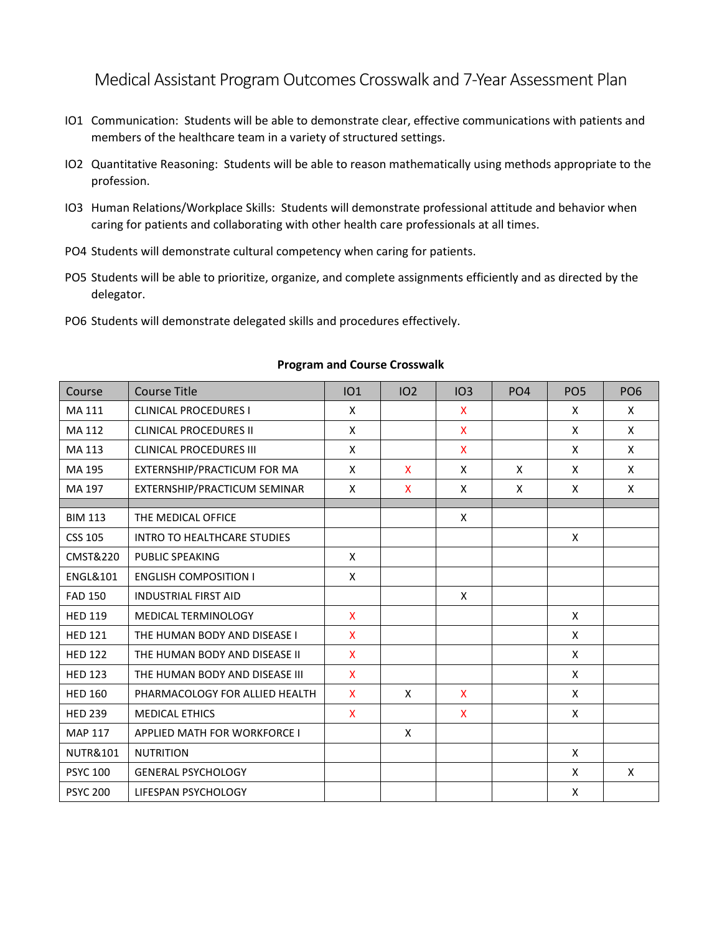Medical Assistant Program Outcomes Crosswalk and 7-Year Assessment Plan

- IO1 Communication: Students will be able to demonstrate clear, effective communications with patients and members of the healthcare team in a variety of structured settings.
- IO2 Quantitative Reasoning: Students will be able to reason mathematically using methods appropriate to the profession.
- IO3 Human Relations/Workplace Skills: Students will demonstrate professional attitude and behavior when caring for patients and collaborating with other health care professionals at all times.
- PO4 Students will demonstrate cultural competency when caring for patients.
- PO5 Students will be able to prioritize, organize, and complete assignments efficiently and as directed by the delegator.
- PO6 Students will demonstrate delegated skills and procedures effectively.

| Course              | <b>Course Title</b>                 | <b>IO1</b>   | IO <sub>2</sub> | IO3 | PO <sub>4</sub> | PO <sub>5</sub> | PO <sub>6</sub> |
|---------------------|-------------------------------------|--------------|-----------------|-----|-----------------|-----------------|-----------------|
| MA 111              | <b>CLINICAL PROCEDURES I</b>        | X            |                 | X   |                 | X               | X               |
| MA 112              | <b>CLINICAL PROCEDURES II</b>       | X            |                 | X   |                 | X               | X               |
| MA 113              | <b>CLINICAL PROCEDURES III</b>      | X            |                 | X   |                 | X               | X               |
| MA 195              | EXTERNSHIP/PRACTICUM FOR MA         | X            | $\mathsf{x}$    | X   | X               | X               | X               |
| MA 197              | EXTERNSHIP/PRACTICUM SEMINAR        | X            | X               | X   | X               | X               | X               |
|                     |                                     |              |                 |     |                 |                 |                 |
| <b>BIM 113</b>      | THE MEDICAL OFFICE                  |              |                 | X   |                 |                 |                 |
| <b>CSS 105</b>      | <b>INTRO TO HEALTHCARE STUDIES</b>  |              |                 |     |                 | X               |                 |
| CMST&220            | PUBLIC SPEAKING                     | X            |                 |     |                 |                 |                 |
| <b>ENGL&amp;101</b> | <b>ENGLISH COMPOSITION I</b>        | X            |                 |     |                 |                 |                 |
| <b>FAD 150</b>      | <b>INDUSTRIAL FIRST AID</b>         |              |                 | X   |                 |                 |                 |
| <b>HED 119</b>      | <b>MEDICAL TERMINOLOGY</b>          | X            |                 |     |                 | X               |                 |
| <b>HED 121</b>      | THE HUMAN BODY AND DISEASE I        | X            |                 |     |                 | X               |                 |
| <b>HED 122</b>      | THE HUMAN BODY AND DISEASE II       | $\mathsf{X}$ |                 |     |                 | X               |                 |
| <b>HED 123</b>      | THE HUMAN BODY AND DISEASE III      | X            |                 |     |                 | X               |                 |
| <b>HED 160</b>      | PHARMACOLOGY FOR ALLIED HEALTH      | X            | X               | X   |                 | X               |                 |
| <b>HED 239</b>      | <b>MEDICAL ETHICS</b>               | X            |                 | X   |                 | X               |                 |
| <b>MAP 117</b>      | <b>APPLIED MATH FOR WORKFORCE I</b> |              | X               |     |                 |                 |                 |
| <b>NUTR&amp;101</b> | <b>NUTRITION</b>                    |              |                 |     |                 | X               |                 |
| <b>PSYC 100</b>     | <b>GENERAL PSYCHOLOGY</b>           |              |                 |     |                 | X               | X               |
| <b>PSYC 200</b>     | LIFESPAN PSYCHOLOGY                 |              |                 |     |                 | Χ               |                 |

## **Program and Course Crosswalk**